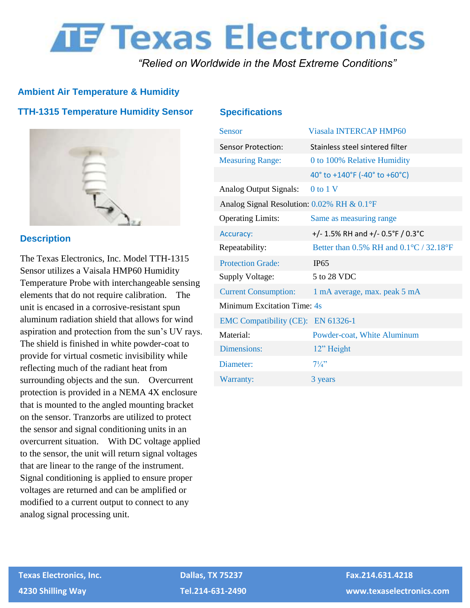# **THE TEXAS Electronics**

*"Relied on Worldwide in the Most Extreme Conditions"*

# **Ambient Air Temperature & Humidity**

## **TTH-1315 Temperature Humidity Sensor**



#### **Description**

The Texas Electronics, Inc. Model TTH-1315 Sensor utilizes a Vaisala HMP60 Humidity Temperature Probe with interchangeable sensing elements that do not require calibration. The unit is encased in a corrosive-resistant spun aluminum radiation shield that allows for wind aspiration and protection from the sun's UV rays. The shield is finished in white powder-coat to provide for virtual cosmetic invisibility while reflecting much of the radiant heat from surrounding objects and the sun. Overcurrent protection is provided in a NEMA 4X enclosure that is mounted to the angled mounting bracket on the sensor. Tranzorbs are utilized to protect the sensor and signal conditioning units in an overcurrent situation. With DC voltage applied to the sensor, the unit will return signal voltages that are linear to the range of the instrument. Signal conditioning is applied to ensure proper voltages are returned and can be amplified or modified to a current output to connect to any analog signal processing unit.

#### **Specifications**

| <b>Sensor</b>                              | <b>Viasala INTERCAP HMP60</b>           |
|--------------------------------------------|-----------------------------------------|
| <b>Sensor Protection:</b>                  | Stainless steel sintered filter         |
| <b>Measuring Range:</b>                    | 0 to 100% Relative Humidity             |
|                                            | 40° to +140°F (-40° to +60°C)           |
| <b>Analog Output Signals:</b>              | $0$ to $1$ V                            |
| Analog Signal Resolution: 0.02% RH & 0.1°F |                                         |
| <b>Operating Limits:</b>                   | Same as measuring range                 |
| Accuracy:                                  | +/- 1.5% RH and +/- 0.5°F / 0.3°C       |
| Repeatability:                             | Better than 0.5% RH and 0.1°C / 32.18°F |
| <b>Protection Grade:</b>                   | <b>IP65</b>                             |
| Supply Voltage:                            | 5 to 28 VDC                             |
| <b>Current Consumption:</b>                | 1 mA average, max. peak 5 mA            |
| Minimum Excitation Time: 4s                |                                         |
| EMC Compatibility (CE): EN 61326-1         |                                         |
| Material:                                  | Powder-coat, White Aluminum             |
| Dimensions:                                | 12" Height                              |
| Diameter:                                  | $7\frac{1}{4}$                          |
| Warranty:                                  | 3 years                                 |

 **Texas Electronics, Inc. Dallas, TX 75237 Fax.214.631.4218**

 **4230 Shilling Way Tel.214-631-2490 www.texaselectronics.com**